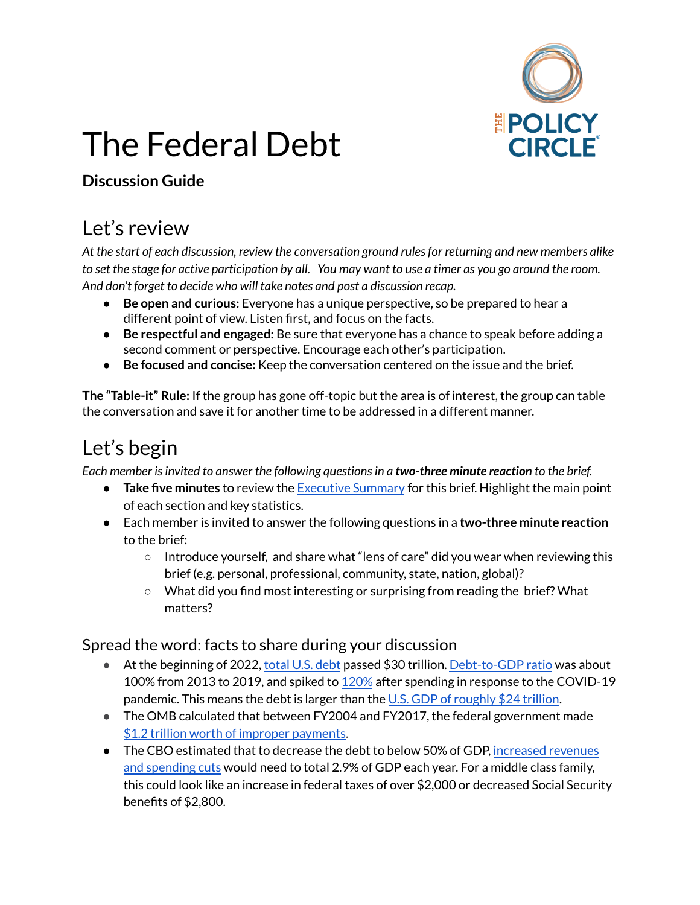

# The Federal Debt

#### **Discussion Guide**

#### Let's review

*At the start of each discussion, review the conversation ground rulesfor returning and new members alike* to set the stage for active participation by all. You may want to use a timer as you go around the room. *And don't forget to decide who will take notes and post a discussion recap.*

- **Be open and curious:** Everyone has a unique perspective, so be prepared to hear a different point of view. Listen first, and focus on the facts.
- **Be respectful and engaged:** Be sure that everyone has a chance to speak before adding a second comment or perspective. Encourage each other's participation.
- **Be focused and concise:** Keep the conversation centered on the issue and the brief.

**The "Table-it" Rule:** If the group has gone off-topic but the area is of interest, the group can table the conversation and save it for another time to be addressed in a different manner.

### Let's begin

*Each member isinvited to answer the following questionsin a two-three minute reaction to the brief.*

- **Take five minutes** to review the [Executive](https://www.thepolicycircle.org/wp-content/uploads/2015/12/The-Federal-Debt-Executive-Summary.pdf) Summary for this brief. Highlight the main point of each section and key statistics.
- Each member is invited to answer the following questions in a **two-three minute reaction** to the brief:
	- Introduce yourself, and share what "lens of care" did you wear when reviewing this brief (e.g. personal, professional, community, state, nation, global)?
	- What did you find most interesting or surprising from reading the brief? What matters?

Spread the word: facts to share during your discussion

- At the beginning of 2022, [total](https://www.usdebtclock.org/) U.S. debt passed \$30 trillion. [Debt-to-GDP](https://fred.stlouisfed.org/series/GFDEGDQ188S) ratio was about 100% from 2013 to 2019, and spiked to [120%](https://fred.stlouisfed.org/series/GFDEGDQ188S) after spending in response to the COVID-19 pandemic. This means the debt is larger than the U.S. GDP of [roughly](https://fred.stlouisfed.org/series/GDP) \$24 trillion.
- The OMB calculated that between FY2004 and FY2017, the federal government made \$1.2 trillion worth of improper [payments.](https://fas.org/sgp/crs/misc/R45257.pdf)
- The CBO estimated that to decrease the debt to below 50% of GDP, [increased](https://www.cbo.gov/system/files/2019-06/55331-LTBO-2.pdf) revenues and [spending](https://www.cbo.gov/system/files/2019-06/55331-LTBO-2.pdf) cuts would need to total 2.9% of GDP each year. For a middle class family, this could look like an increase in federal taxes of over \$2,000 or decreased Social Security benefits of \$2,800.